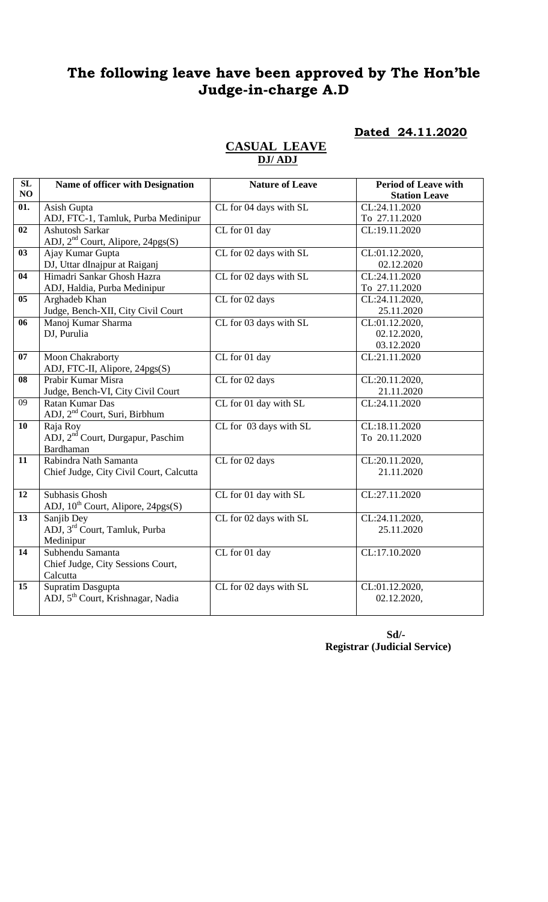# **The following leave have been approved by The Hon'ble Judge-in-charge A.D**

# **Dated 24.11.2020**

| SL              |                                               | <b>Nature of Leave</b> |                                                     |
|-----------------|-----------------------------------------------|------------------------|-----------------------------------------------------|
| NO              | Name of officer with Designation              |                        | <b>Period of Leave with</b><br><b>Station Leave</b> |
| 01.             | Asish Gupta                                   | CL for 04 days with SL | CL:24.11.2020                                       |
|                 | ADJ, FTC-1, Tamluk, Purba Medinipur           |                        | To 27.11.2020                                       |
| 02              | <b>Ashutosh Sarkar</b>                        | CL for 01 day          | CL:19.11.2020                                       |
|                 | ADJ, 2 <sup>nd</sup> Court, Alipore, 24pgs(S) |                        |                                                     |
| 03              | Ajay Kumar Gupta                              | CL for 02 days with SL | CL:01.12.2020,                                      |
|                 | DJ, Uttar dInajpur at Raiganj                 |                        | 02.12.2020                                          |
| 04              | Himadri Sankar Ghosh Hazra                    | CL for 02 days with SL | CL:24.11.2020                                       |
|                 | ADJ, Haldia, Purba Medinipur                  |                        | To 27.11.2020                                       |
| 0 <sub>5</sub>  | Arghadeb Khan                                 | CL for 02 days         | CL:24.11.2020,                                      |
|                 | Judge, Bench-XII, City Civil Court            |                        | 25.11.2020                                          |
| 06              | Manoj Kumar Sharma                            | CL for 03 days with SL | CL:01.12.2020,                                      |
|                 | DJ, Purulia                                   |                        | 02.12.2020,                                         |
|                 |                                               |                        | 03.12.2020                                          |
| 07              | Moon Chakraborty                              | CL for 01 day          | CL:21.11.2020                                       |
|                 | ADJ, FTC-II, Alipore, 24pgs(S)                |                        |                                                     |
| 08              | Prabir Kumar Misra                            | CL for 02 days         | CL:20.11.2020,                                      |
|                 | Judge, Bench-VI, City Civil Court             |                        | 21.11.2020                                          |
| $\overline{09}$ | Ratan Kumar Das                               | CL for 01 day with SL  | CL:24.11.2020                                       |
|                 | ADJ, 2 <sup>nd</sup> Court, Suri, Birbhum     |                        |                                                     |
| 10              | Raja Roy                                      | CL for 03 days with SL | CL:18.11.2020                                       |
|                 | ADJ, 2 <sup>nd</sup> Court, Durgapur, Paschim |                        | To 20.11.2020                                       |
|                 | <b>Bardhaman</b>                              |                        |                                                     |
| 11              | Rabindra Nath Samanta                         | CL for 02 days         | CL:20.11.2020,                                      |
|                 | Chief Judge, City Civil Court, Calcutta       |                        | 21.11.2020                                          |
| 12              | Subhasis Ghosh                                | CL for 01 day with SL  | CL:27.11.2020                                       |
|                 | ADJ, $10^{th}$ Court, Alipore, 24pgs(S)       |                        |                                                     |
| 13              | Sanjib Dey                                    | CL for 02 days with SL | CL:24.11.2020,                                      |
|                 | ADJ, 3 <sup>rd</sup> Court, Tamluk, Purba     |                        | 25.11.2020                                          |
|                 | Medinipur                                     |                        |                                                     |
| 14              | Subhendu Samanta                              | CL for 01 day          | CL:17.10.2020                                       |
|                 | Chief Judge, City Sessions Court,             |                        |                                                     |
|                 | Calcutta                                      |                        |                                                     |
| 15              | Supratim Dasgupta                             | CL for 02 days with SL | CL:01.12.2020,                                      |
|                 | ADJ, 5 <sup>th</sup> Court, Krishnagar, Nadia |                        | 02.12.2020,                                         |
|                 |                                               |                        |                                                     |

**CASUAL LEAVE DJ/ ADJ** 

> **Sd/- Registrar (Judicial Service)**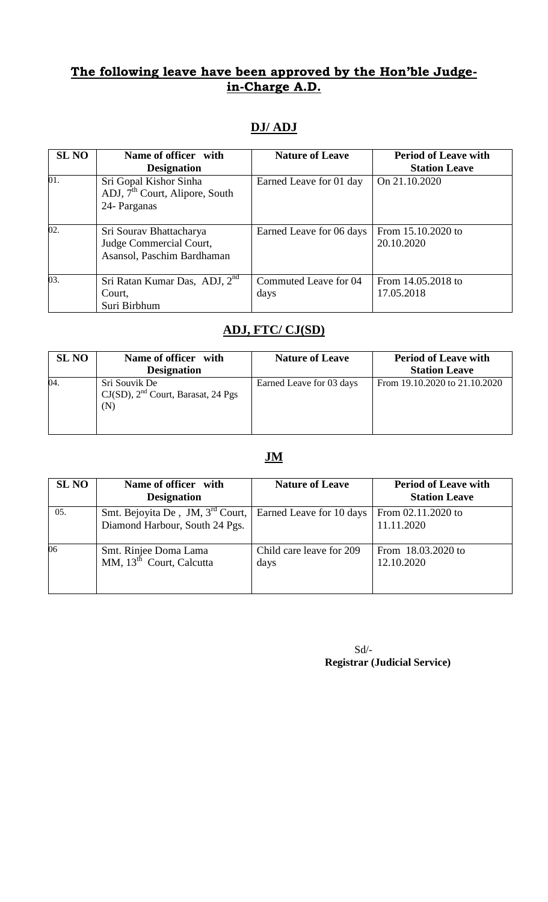### **The following leave have been approved by the Hon'ble Judgein-Charge A.D.**

# **DJ/ ADJ**

| <b>SL NO</b> | Name of officer with<br><b>Designation</b>                                           | <b>Nature of Leave</b>        | <b>Period of Leave with</b><br><b>Station Leave</b> |
|--------------|--------------------------------------------------------------------------------------|-------------------------------|-----------------------------------------------------|
| 01.          | Sri Gopal Kishor Sinha<br>ADJ, 7 <sup>th</sup> Court, Alipore, South<br>24- Parganas | Earned Leave for 01 day       | On 21.10.2020                                       |
| 02.          | Sri Sourav Bhattacharya<br>Judge Commercial Court,<br>Asansol, Paschim Bardhaman     | Earned Leave for 06 days      | From 15.10.2020 to<br>20.10.2020                    |
| 03.          | Sri Ratan Kumar Das, ADJ, 2 <sup>nd</sup><br>Court,<br>Suri Birbhum                  | Commuted Leave for 04<br>days | From 14.05.2018 to<br>17.05.2018                    |

# **ADJ, FTC/ CJ(SD)**

| <b>SL NO</b> | Name of officer with<br><b>Designation</b>                      | <b>Nature of Leave</b>   | <b>Period of Leave with</b><br><b>Station Leave</b> |
|--------------|-----------------------------------------------------------------|--------------------------|-----------------------------------------------------|
| 04           | Sri Souvik De<br>$CJ(SD)$ , $2nd$ Court, Barasat, 24 Pgs<br>(N) | Earned Leave for 03 days | From 19.10.2020 to 21.10.2020                       |

# **JM**

| <b>SL NO</b> | Name of officer with<br><b>Designation</b>                                     | <b>Nature of Leave</b>           | <b>Period of Leave with</b><br><b>Station Leave</b> |
|--------------|--------------------------------------------------------------------------------|----------------------------------|-----------------------------------------------------|
| 05.          | Smt. Bejoyita De, JM, 3 <sup>rd</sup> Court,<br>Diamond Harbour, South 24 Pgs. | Earned Leave for 10 days         | From 02.11.2020 to<br>11.11.2020                    |
| 06           | Smt. Rinjee Doma Lama<br>MM, 13 <sup>th</sup> Court, Calcutta                  | Child care leave for 209<br>days | From 18.03.2020 to<br>12.10.2020                    |

Sd/-  **Registrar (Judicial Service)**